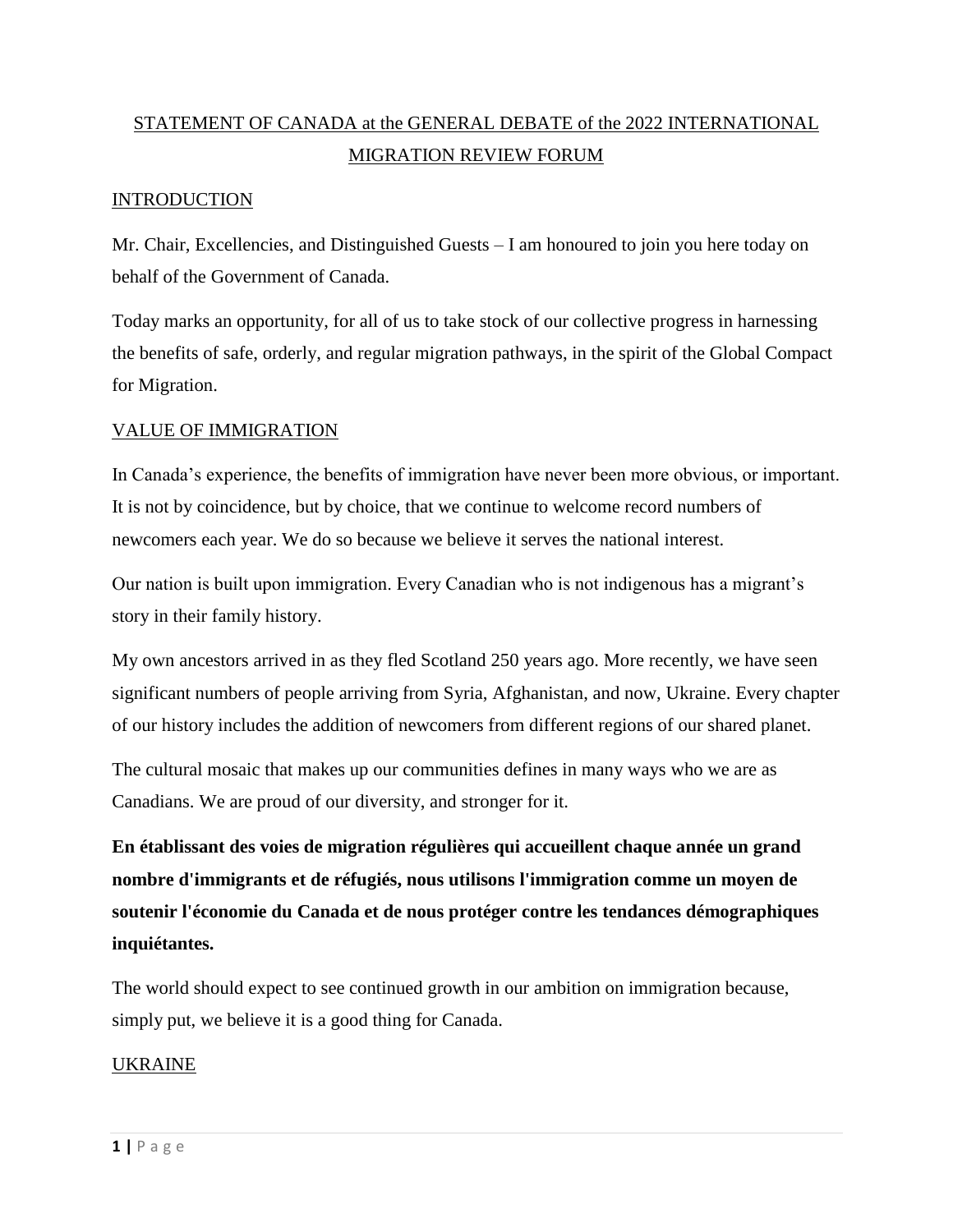# STATEMENT OF CANADA at the GENERAL DEBATE of the 2022 INTERNATIONAL MIGRATION REVIEW FORUM

## INTRODUCTION

Mr. Chair, Excellencies, and Distinguished Guests – I am honoured to join you here today on behalf of the Government of Canada.

Today marks an opportunity, for all of us to take stock of our collective progress in harnessing the benefits of safe, orderly, and regular migration pathways, in the spirit of the Global Compact for Migration.

#### VALUE OF IMMIGRATION

In Canada's experience, the benefits of immigration have never been more obvious, or important. It is not by coincidence, but by choice, that we continue to welcome record numbers of newcomers each year. We do so because we believe it serves the national interest.

Our nation is built upon immigration. Every Canadian who is not indigenous has a migrant's story in their family history.

My own ancestors arrived in as they fled Scotland 250 years ago. More recently, we have seen significant numbers of people arriving from Syria, Afghanistan, and now, Ukraine. Every chapter of our history includes the addition of newcomers from different regions of our shared planet.

The cultural mosaic that makes up our communities defines in many ways who we are as Canadians. We are proud of our diversity, and stronger for it.

**En établissant des voies de migration régulières qui accueillent chaque année un grand nombre d'immigrants et de réfugiés, nous utilisons l'immigration comme un moyen de soutenir l'économie du Canada et de nous protéger contre les tendances démographiques inquiétantes.** 

The world should expect to see continued growth in our ambition on immigration because, simply put, we believe it is a good thing for Canada.

## UKRAINE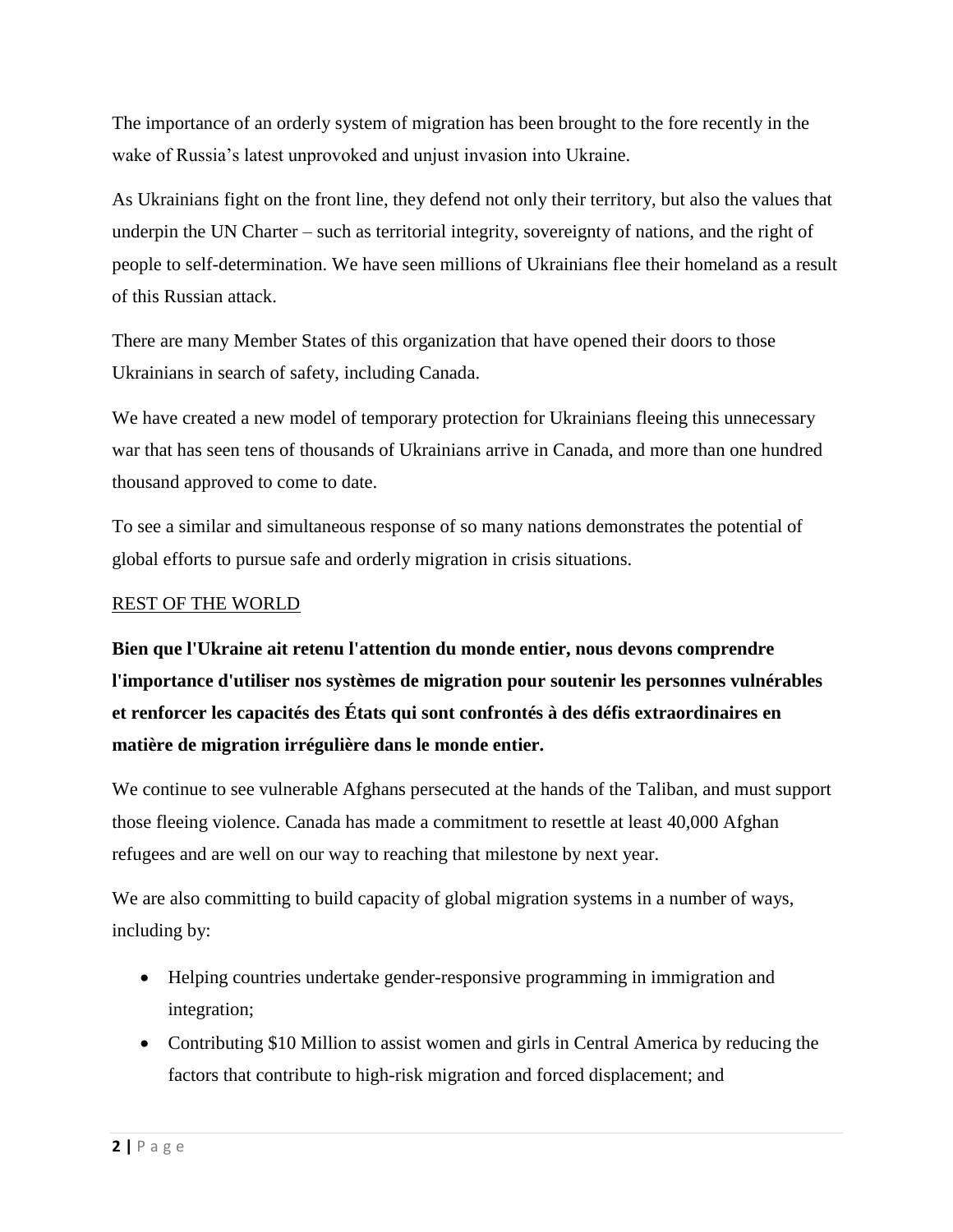The importance of an orderly system of migration has been brought to the fore recently in the wake of Russia's latest unprovoked and unjust invasion into Ukraine.

As Ukrainians fight on the front line, they defend not only their territory, but also the values that underpin the UN Charter – such as territorial integrity, sovereignty of nations, and the right of people to self-determination. We have seen millions of Ukrainians flee their homeland as a result of this Russian attack.

There are many Member States of this organization that have opened their doors to those Ukrainians in search of safety, including Canada.

We have created a new model of temporary protection for Ukrainians fleeing this unnecessary war that has seen tens of thousands of Ukrainians arrive in Canada, and more than one hundred thousand approved to come to date.

To see a similar and simultaneous response of so many nations demonstrates the potential of global efforts to pursue safe and orderly migration in crisis situations.

#### REST OF THE WORLD

**Bien que l'Ukraine ait retenu l'attention du monde entier, nous devons comprendre l'importance d'utiliser nos systèmes de migration pour soutenir les personnes vulnérables et renforcer les capacités des États qui sont confrontés à des défis extraordinaires en matière de migration irrégulière dans le monde entier.**

We continue to see vulnerable Afghans persecuted at the hands of the Taliban, and must support those fleeing violence. Canada has made a commitment to resettle at least 40,000 Afghan refugees and are well on our way to reaching that milestone by next year.

We are also committing to build capacity of global migration systems in a number of ways, including by:

- Helping countries undertake gender-responsive programming in immigration and integration;
- Contributing \$10 Million to assist women and girls in Central America by reducing the factors that contribute to high-risk migration and forced displacement; and